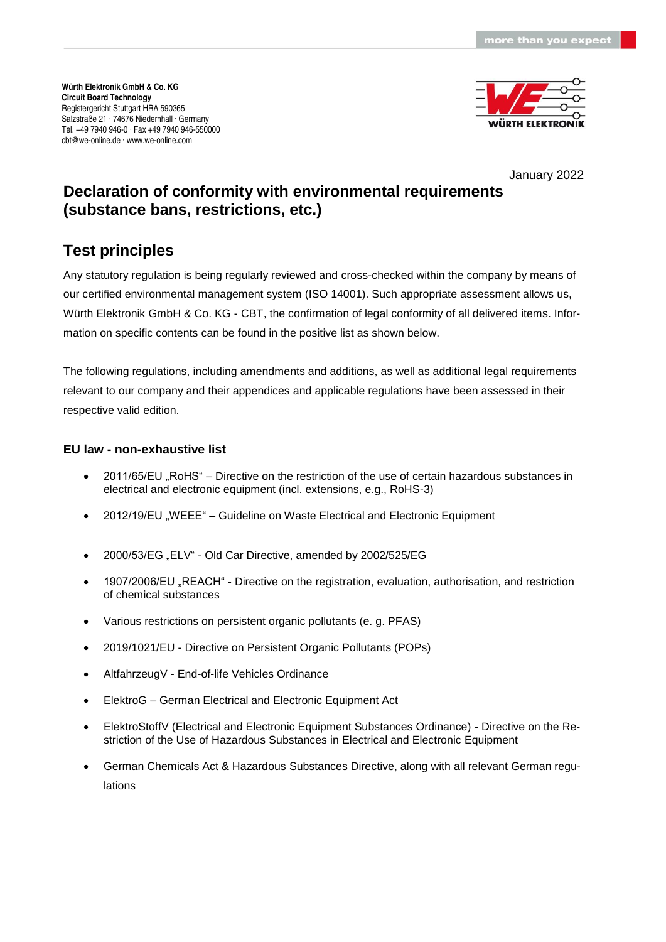

January 2022

# **Declaration of conformity with environmental requirements (substance bans, restrictions, etc.)**

## **Test principles**

Any statutory regulation is being regularly reviewed and cross-checked within the company by means of our certified environmental management system (ISO 14001). Such appropriate assessment allows us, Würth Elektronik GmbH & Co. KG - CBT, the confirmation of legal conformity of all delivered items. Information on specific contents can be found in the positive list as shown below.

The following regulations, including amendments and additions, as well as additional legal requirements relevant to our company and their appendices and applicable regulations have been assessed in their respective valid edition.

### **EU law - non-exhaustive list**

- 2011/65/EU "RoHS" Directive on the restriction of the use of certain hazardous substances in electrical and electronic equipment (incl. extensions, e.g., RoHS-3)
- 2012/19/EU "WEEE" Guideline on Waste Electrical and Electronic Equipment
- 2000/53/EG "ELV" Old Car Directive, amended by 2002/525/EG
- 1907/2006/EU "REACH" Directive on the registration, evaluation, authorisation, and restriction of chemical substances
- Various restrictions on persistent organic pollutants (e. g. PFAS)
- 2019/1021/EU Directive on Persistent Organic Pollutants (POPs)
- AltfahrzeugV End-of-life Vehicles Ordinance
- ElektroG German Electrical and Electronic Equipment Act
- ElektroStoffV (Electrical and Electronic Equipment Substances Ordinance) Directive on the Restriction of the Use of Hazardous Substances in Electrical and Electronic Equipment
- German Chemicals Act & Hazardous Substances Directive, along with all relevant German regulations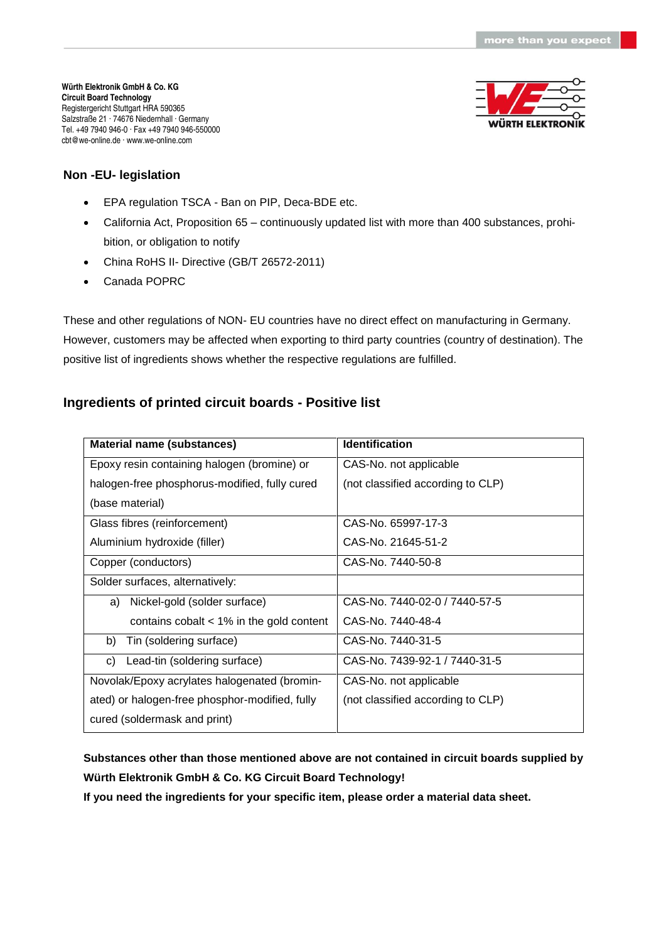

### **Non -EU- legislation**

- EPA regulation TSCA Ban on PIP, Deca-BDE etc.
- California Act, Proposition 65 continuously updated list with more than 400 substances, prohibition, or obligation to notify
- China RoHS II- Directive (GB/T 26572-2011)
- Canada POPRC

These and other regulations of NON- EU countries have no direct effect on manufacturing in Germany. However, customers may be affected when exporting to third party countries (country of destination). The positive list of ingredients shows whether the respective regulations are fulfilled.

## **Ingredients of printed circuit boards - Positive list**

| <b>Material name (substances)</b>              | <b>Identification</b>             |
|------------------------------------------------|-----------------------------------|
| Epoxy resin containing halogen (bromine) or    | CAS-No. not applicable            |
| halogen-free phosphorus-modified, fully cured  | (not classified according to CLP) |
| (base material)                                |                                   |
| Glass fibres (reinforcement)                   | CAS-No. 65997-17-3                |
| Aluminium hydroxide (filler)                   | CAS-No. 21645-51-2                |
| Copper (conductors)                            | CAS-No. 7440-50-8                 |
| Solder surfaces, alternatively:                |                                   |
| Nickel-gold (solder surface)<br>a)             | CAS-No. 7440-02-0 / 7440-57-5     |
| contains cobalt $<$ 1% in the gold content     | CAS-No. 7440-48-4                 |
| Tin (soldering surface)<br>b)                  | CAS-No. 7440-31-5                 |
| Lead-tin (soldering surface)<br>C)             | CAS-No. 7439-92-1 / 7440-31-5     |
| Novolak/Epoxy acrylates halogenated (bromin-   | CAS-No. not applicable            |
| ated) or halogen-free phosphor-modified, fully | (not classified according to CLP) |
| cured (soldermask and print)                   |                                   |

**Substances other than those mentioned above are not contained in circuit boards supplied by Würth Elektronik GmbH & Co. KG Circuit Board Technology!** 

**If you need the ingredients for your specific item, please order a material data sheet.**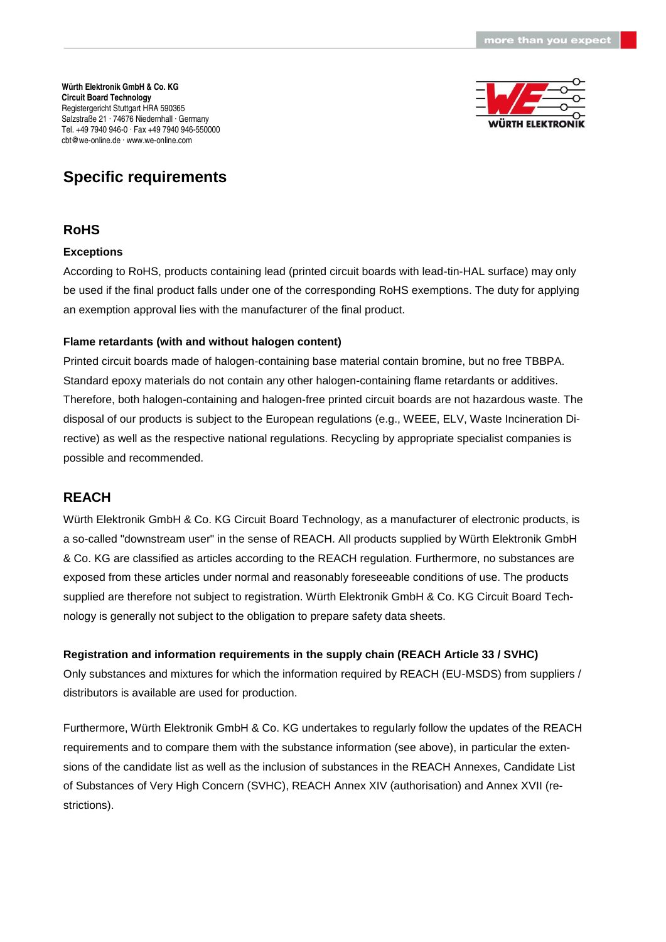

## **RoHS**

#### **Exceptions**

According to RoHS, products containing lead (printed circuit boards with lead-tin-HAL surface) may only be used if the final product falls under one of the corresponding RoHS exemptions. The duty for applying an exemption approval lies with the manufacturer of the final product.

### **Flame retardants (with and without halogen content)**

Printed circuit boards made of halogen-containing base material contain bromine, but no free TBBPA. Standard epoxy materials do not contain any other halogen-containing flame retardants or additives. Therefore, both halogen-containing and halogen-free printed circuit boards are not hazardous waste. The disposal of our products is subject to the European regulations (e.g., WEEE, ELV, Waste Incineration Directive) as well as the respective national regulations. Recycling by appropriate specialist companies is possible and recommended.

## **REACH**

Würth Elektronik GmbH & Co. KG Circuit Board Technology, as a manufacturer of electronic products, is a so-called "downstream user" in the sense of REACH. All products supplied by Würth Elektronik GmbH & Co. KG are classified as articles according to the REACH regulation. Furthermore, no substances are exposed from these articles under normal and reasonably foreseeable conditions of use. The products supplied are therefore not subject to registration. Würth Elektronik GmbH & Co. KG Circuit Board Technology is generally not subject to the obligation to prepare safety data sheets.

## **Registration and information requirements in the supply chain (REACH Article 33 / SVHC)**

Only substances and mixtures for which the information required by REACH (EU-MSDS) from suppliers / distributors is available are used for production.

Furthermore, Würth Elektronik GmbH & Co. KG undertakes to regularly follow the updates of the REACH requirements and to compare them with the substance information (see above), in particular the extensions of the candidate list as well as the inclusion of substances in the REACH Annexes, Candidate List of Substances of Very High Concern (SVHC), REACH Annex XIV (authorisation) and Annex XVII (restrictions).